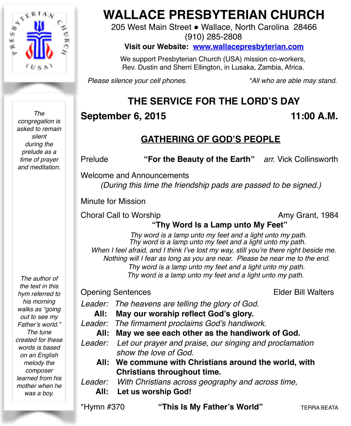

*The congregation is asked to remain silent during the prelude as a time of prayer and meditation.*

*The author of the text in this hym referred to his morning walks as "going out to see my Father's world." The tune created for these words is based on an English melody the composer learned from his mother when he was a boy.*

# **WALLACE PRESBYTERIAN CHURCH**

205 West Main Street . Wallace, North Carolina 28466 (910) 285-2808

**Visit our Website: [www.wallacepresbyterian.com](http://www.wallacepresbyterian.com)**

 We support Presbyterian Church (USA) mission co-workers, Rev. Dustin and Sherri Ellington, in Lusaka, Zambia, Africa.

*Please silence your cell phones. \*All who are able may stand.*

# **THE SERVICE FOR THE LORD'S DAY**

## **September 6, 2015 11:00 A.M.**

# **GATHERING OF GOD'S PEOPLE**

Prelude **"For the Beauty of the Earth"** *arr.* Vick Collinsworth

Welcome and Announcements

*(During this time the friendship pads are passed to be signed.)*

Minute for Mission

Choral Call to Worship Choral Changes Amy Grant, 1984

### **"Thy Word Is a Lamp unto My Feet"**

*Thy word is a lamp unto my feet and a light unto my path. Thy word is a lamp unto my feet and a light unto my path. When I feel afraid, and I think I've lost my way, still you're there right beside me. Nothing will I fear as long as you are near. Please be near me to the end. Thy word is a lamp unto my feet and a light unto my path. Thy word is a lamp unto my feet and a light unto my path.*

#### Opening Sentences **Elder Bill Walters**

*Leader: The heavens are telling the glory of God.*

**All: May our worship reflect God's glory.**

*Leader: The firmament proclaims God's handiwork*.

**All: May we see each other as the handiwork of God.**

*Leader: Let our prayer and praise, our singing and proclamation show the love of God.* 

**All: We commune with Christians around the world, with Christians throughout time.**

*Leader: With Christians across geography and across time,* **All: Let us worship God!**

\*Hymn #370 **"This Is My Father's World"** TERRA BEATA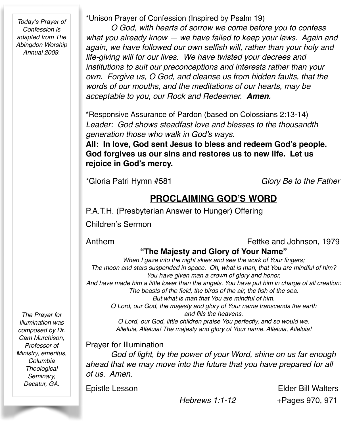*Today's Prayer of Confession is adapted from The Abingdon Worship Annual 2009.*

\*Unison Prayer of Confession (Inspired by Psalm 19)

*O God, with hearts of sorrow we come before you to confess what you already know — we have failed to keep your laws. Again and again, we have followed our own selfish will, rather than your holy and life-giving will for our lives. We have twisted your decrees and institutions to suit our preconceptions and interests rather than your own. Forgive us, O God, and cleanse us from hidden faults, that the words of our mouths, and the meditations of our hearts, may be acceptable to you, our Rock and Redeemer. Amen.*

\*Responsive Assurance of Pardon (based on Colossians 2:13-14) *Leader: God shows steadfast love and blesses to the thousandth generation those who walk in God's ways.*

**All: In love, God sent Jesus to bless and redeem God's people. God forgives us our sins and restores us to new life. Let us rejoice in God's mercy.**

\*Gloria Patri Hymn #581 *Glory Be to the Father*

# **PROCLAIMING GOD'S WORD**

P.A.T.H. (Presbyterian Answer to Hunger) Offering

Children's Sermon

Anthem Fettke and Johnson, 1979

### **"The Majesty and Glory of Your Name"**

*When I gaze into the night skies and see the work of Your fingers; The moon and stars suspended in space. Oh, what is man, that You are mindful of him? You have given man a crown of glory and honor,*

*And have made him a little lower than the angels. You have put him in charge of all creation: The beasts of the field, the birds of the air, the fish of the sea.*

*But what is man that You are mindful of him.*

*O Lord, our God, the majesty and glory of Your name transcends the earth and fills the heavens.*

*O Lord, our God, little children praise You perfectly, and so would we. Alleluia, Alleluia! The majesty and glory of Your name. Alleluia, Alleluia!*

Prayer for Illumination

*God of light, by the power of your Word, shine on us far enough ahead that we may move into the future that you have prepared for all of us. Amen.*

Epistle Lesson Elder Bill Walters  *Hebrews 1:1-12* +Pages 970, 971

*The Prayer for Illumination was composed by Dr. Cam Murchison, Professor of Ministry, emeritus, Columbia Theological Seminary, Decatur, GA.*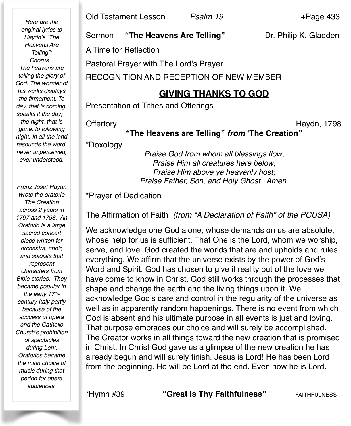*Here are the original lyrics to Haydn's "The Heavens Are Telling": Chorus The heavens are telling the glory of God. The wonder of his works displays the firmament. To day, that is coming, speaks it the day; the night, that is gone, to following night. In all the land resounds the word, never unperceived, ever understood.*

*Franz Josef Haydn wrote the oratorio The Creation across 2 years in 1797 and 1798. An Oratorio is a large sacred concert piece written for orchestra, choir, and soloists that represent characters from Bible stories. They became popular in the early 17thcentury Italy partly because of the success of opera and the Catholic Church's prohibition of spectacles during Lent. Oratorios became the main choice of music during that period for opera audiences.*

Old Testament Lesson *Psalm 19* + Page 433

Sermon **"The Heavens Are Telling"** Dr. Philip K. Gladden

A Time for Reflection

Pastoral Prayer with The Lord's Prayer

RECOGNITION AND RECEPTION OF NEW MEMBER

#### **GIVING THANKS TO GOD**

Presentation of Tithes and Offerings

Offertory Haydn, 1798

#### **"The Heavens are Telling"** *from* **'The Creation"**

\*Doxology

*Praise God from whom all blessings flow; Praise Him all creatures here below; Praise Him above ye heavenly host; Praise Father, Son, and Holy Ghost. Amen.*

\*Prayer of Dedication

The Affirmation of Faith *(from "A Declaration of Faith" of the PCUSA)*

We acknowledge one God alone, whose demands on us are absolute, whose help for us is sufficient. That One is the Lord, whom we worship, serve, and love. God created the worlds that are and upholds and rules everything. We affirm that the universe exists by the power of God's Word and Spirit. God has chosen to give it reality out of the love we have come to know in Christ. God still works through the processes that shape and change the earth and the living things upon it. We acknowledge God's care and control in the regularity of the universe as well as in apparently random happenings. There is no event from which God is absent and his ultimate purpose in all events is just and loving. That purpose embraces our choice and will surely be accomplished. The Creator works in all things toward the new creation that is promised in Christ. In Christ God gave us a glimpse of the new creation he has already begun and will surely finish. Jesus is Lord! He has been Lord from the beginning. He will be Lord at the end. Even now he is Lord.

\*Hymn #39 **"Great Is Thy Faithfulness"** FAITHFULNESS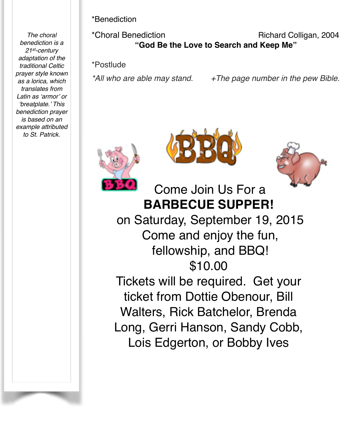\*Benediction

*The choral benediction is a 21st-century adaptation of the traditional Celtic prayer style known as a lorica, which translates from Latin as 'armor' or 'breatplate.' This benediction prayer is based on an example attributed to St. Patrick.*

\*Choral Benediction Richard Colligan, 2004 **"God Be the Love to Search and Keep Me"**

\*Postlude

*\*All who are able may stand. +The page number in the pew Bible.*







# Come Join Us For a **BARBECUE SUPPER!**

 on Saturday, September 19, 2015 Come and enjoy the fun, fellowship, and BBQ! \$10.00 Tickets will be required. Get your ticket from Dottie Obenour, Bill Walters, Rick Batchelor, Brenda Long, Gerri Hanson, Sandy Cobb,

Lois Edgerton, or Bobby Ives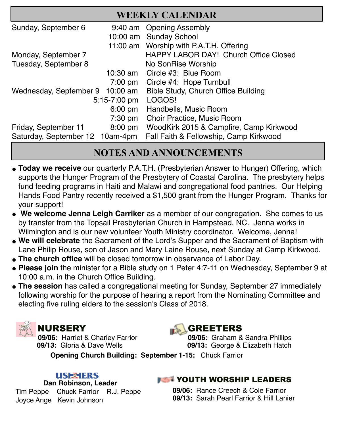| <b>WEEKLY CALENDAR</b>          |                   |                                         |  |  |
|---------------------------------|-------------------|-----------------------------------------|--|--|
| Sunday, September 6             |                   | 9:40 am Opening Assembly                |  |  |
|                                 |                   | 10:00 am Sunday School                  |  |  |
|                                 |                   | 11:00 am Worship with P.A.T.H. Offering |  |  |
| Monday, September 7             |                   | HAPPY LABOR DAY! Church Office Closed   |  |  |
| Tuesday, September 8            |                   | No SonRise Worship                      |  |  |
|                                 |                   | 10:30 am Circle #3: Blue Room           |  |  |
|                                 |                   | 7:00 pm Circle #4: Hope Turnbull        |  |  |
| Wednesday, September 9          | 10:00 am          | Bible Study, Church Office Building     |  |  |
|                                 | 5:15-7:00 pm      | LOGOS!                                  |  |  |
|                                 | $6:00 \text{ pm}$ | Handbells, Music Room                   |  |  |
|                                 | $7:30$ pm         | Choir Practice, Music Room              |  |  |
| Friday, September 11            | $8:00 \text{ pm}$ | WoodKirk 2015 & Campfire, Camp Kirkwood |  |  |
| Saturday, September 12 10am-4pm |                   | Fall Faith & Fellowship, Camp Kirkwood  |  |  |
|                                 |                   |                                         |  |  |

## **NOTES AND ANNOUNCEMENTS**

- " **Today we receive** our quarterly P.A.T.H. (Presbyterian Answer to Hunger) Offering, which supports the Hunger Program of the Presbytery of Coastal Carolina. The presbytery helps fund feeding programs in Haiti and Malawi and congregational food pantries. Our Helping Hands Food Pantry recently received a \$1,500 grant from the Hunger Program. Thanks for your support!
- " **We welcome Jenna Leigh Carriker** as a member of our congregation. She comes to us by transfer from the Topsail Presbyterian Church in Hampstead, NC. Jenna works in Wilmington and is our new volunteer Youth Ministry coordinator. Welcome, Jenna!
- " **We will celebrate** the Sacrament of the Lord's Supper and the Sacrament of Baptism with Lane Philip Rouse, son of Jason and Mary Laine Rouse, next Sunday at Camp Kirkwood.
- **The church office** will be closed tomorrow in observance of Labor Day.
- Please join the minister for a Bible study on 1 Peter 4:7-11 on Wednesday, September 9 at 10:00 a.m. in the Church Office Building.
- The session has called a congregational meeting for Sunday, September 27 immediately following worship for the purpose of hearing a report from the Nominating Committee and electing five ruling elders to the session's Class of 2018.





 **09/06:** Harriet & Charley Farrior **09/06:** Graham & Sandra Phillips **09/13:** George & Elizabeth Hatch

**Opening Church Building: September 1-15:** Chuck Farrior

#### **USEHERS**

 **Dan Robinson, Leader** Tim Peppe Chuck Farrior R.J. Peppe Joyce Ange Kevin Johnson

#### YOUTH WORSHIP LEADERS

**09/06:** Rance Creech & Cole Farrior **09/13:** Sarah Pearl Farrior & Hill Lanier